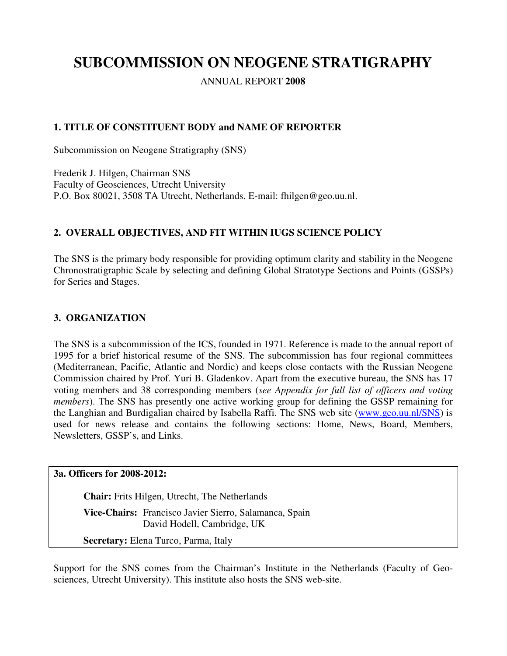# **SUBCOMMISSION ON NEOGENE STRATIGRAPHY**

ANNUAL REPORT **2008**

# **1. TITLE OF CONSTITUENT BODY and NAME OF REPORTER**

Subcommission on Neogene Stratigraphy (SNS)

Frederik J. Hilgen, Chairman SNS Faculty of Geosciences, Utrecht University P.O. Box 80021, 3508 TA Utrecht, Netherlands. E-mail: fhilgen@geo.uu.nl.

# **2. OVERALL OBJECTIVES, AND FIT WITHIN IUGS SCIENCE POLICY**

The SNS is the primary body responsible for providing optimum clarity and stability in the Neogene Chronostratigraphic Scale by selecting and defining Global Stratotype Sections and Points (GSSPs) for Series and Stages.

#### **3. ORGANIZATION**

The SNS is a subcommission of the ICS, founded in 1971. Reference is made to the annual report of 1995 for a brief historical resume of the SNS. The subcommission has four regional committees (Mediterranean, Pacific, Atlantic and Nordic) and keeps close contacts with the Russian Neogene Commission chaired by Prof. Yuri B. Gladenkov. Apart from the executive bureau, the SNS has 17 voting members and 38 corresponding members (*see Appendix for full list of officers and voting members*). The SNS has presently one active working group for defining the GSSP remaining for the Langhian and Burdigalian chaired by Isabella Raffi. The SNS web site (www.geo.uu.nl/SNS) is used for news release and contains the following sections: Home, News, Board, Members, Newsletters, GSSP's, and Links.

**3a. Officers for 2008-2012:** 

**Chair:** Frits Hilgen, Utrecht, The Netherlands **Vice-Chairs:** Francisco Javier Sierro, Salamanca, Spain David Hodell, Cambridge, UK **Secretary:** Elena Turco, Parma, Italy

Support for the SNS comes from the Chairman's Institute in the Netherlands (Faculty of Geosciences, Utrecht University). This institute also hosts the SNS web-site.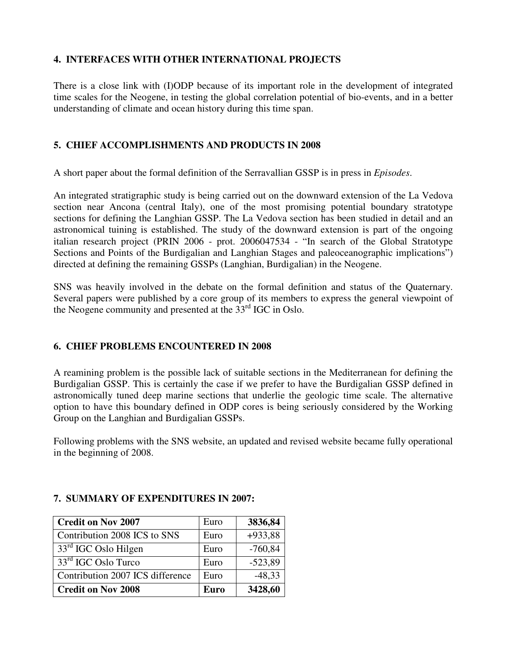# **4. INTERFACES WITH OTHER INTERNATIONAL PROJECTS**

There is a close link with (I)ODP because of its important role in the development of integrated time scales for the Neogene, in testing the global correlation potential of bio-events, and in a better understanding of climate and ocean history during this time span.

# **5. CHIEF ACCOMPLISHMENTS AND PRODUCTS IN 2008**

A short paper about the formal definition of the Serravallian GSSP is in press in *Episodes*.

An integrated stratigraphic study is being carried out on the downward extension of the La Vedova section near Ancona (central Italy), one of the most promising potential boundary stratotype sections for defining the Langhian GSSP. The La Vedova section has been studied in detail and an astronomical tuining is established. The study of the downward extension is part of the ongoing italian research project (PRIN 2006 - prot. 2006047534 - "In search of the Global Stratotype Sections and Points of the Burdigalian and Langhian Stages and paleoceanographic implications") directed at defining the remaining GSSPs (Langhian, Burdigalian) in the Neogene.

SNS was heavily involved in the debate on the formal definition and status of the Quaternary. Several papers were published by a core group of its members to express the general viewpoint of the Neogene community and presented at the  $33<sup>rd</sup>$  IGC in Oslo.

# **6. CHIEF PROBLEMS ENCOUNTERED IN 2008**

A reamining problem is the possible lack of suitable sections in the Mediterranean for defining the Burdigalian GSSP. This is certainly the case if we prefer to have the Burdigalian GSSP defined in astronomically tuned deep marine sections that underlie the geologic time scale. The alternative option to have this boundary defined in ODP cores is being seriously considered by the Working Group on the Langhian and Burdigalian GSSPs.

Following problems with the SNS website, an updated and revised website became fully operational in the beginning of 2008.

| <b>Credit on Nov 2007</b>        | Euro        | 3836,84   |
|----------------------------------|-------------|-----------|
| Contribution 2008 ICS to SNS     | Euro        | $+933,88$ |
| 33rd IGC Oslo Hilgen             | Euro        | $-760,84$ |
| 33 <sup>rd</sup> IGC Oslo Turco  | Euro        | $-523,89$ |
| Contribution 2007 ICS difference | Euro        | $-48,33$  |
| <b>Credit on Nov 2008</b>        | <b>Euro</b> | 3428,60   |

## **7. SUMMARY OF EXPENDITURES IN 2007:**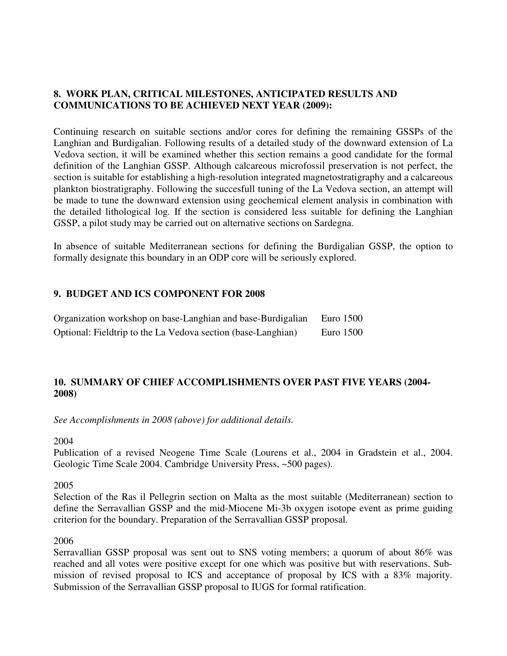### **8. WORK PLAN, CRITICAL MILESTONES, ANTICIPATED RESULTS AND COMMUNICATIONS TO BE ACHIEVED NEXT YEAR (2009):**

Continuing research on suitable sections and/or cores for defining the remaining GSSPs of the Langhian and Burdigalian. Following results of a detailed study of the downward extension of La Vedova section, it will be examined whether this section remains a good candidate for the formal definition of the Langhian GSSP. Although calcareous microfossil preservation is not perfect, the section is suitable for establishing a high-resolution integrated magnetostratigraphy and a calcareous plankton biostratigraphy. Following the succesfull tuning of the La Vedova section, an attempt will be made to tune the downward extension using geochemical element analysis in combination with the detailed lithological log. If the section is considered less suitable for defining the Langhian GSSP, a pilot study may be carried out on alternative sections on Sardegna.

In absence of suitable Mediterranean sections for defining the Burdigalian GSSP, the option to formally designate this boundary in an ODP core will be seriously explored.

## **9. BUDGET AND ICS COMPONENT FOR 2008**

| Organization workshop on base-Langhian and base-Burdigalian  | Euro 1500   |
|--------------------------------------------------------------|-------------|
| Optional: Fieldtrip to the La Vedova section (base-Langhian) | Euro $1500$ |

## **10. SUMMARY OF CHIEF ACCOMPLISHMENTS OVER PAST FIVE YEARS (2004- 2008)**

*See Accomplishments in 2008 (above) for additional details.* 

2004

Publication of a revised Neogene Time Scale (Lourens et al., 2004 in Gradstein et al., 2004. Geologic Time Scale 2004. Cambridge University Press, ~500 pages).

2005

Selection of the Ras il Pellegrin section on Malta as the most suitable (Mediterranean) section to define the Serravallian GSSP and the mid-Miocene Mi-3b oxygen isotope event as prime guiding criterion for the boundary. Preparation of the Serravallian GSSP proposal.

#### 2006

Serravallian GSSP proposal was sent out to SNS voting members; a quorum of about 86% was reached and all votes were positive except for one which was positive but with reservations. Submission of revised proposal to ICS and acceptance of proposal by ICS with a 83% majority. Submission of the Serravallian GSSP proposal to IUGS for formal ratification.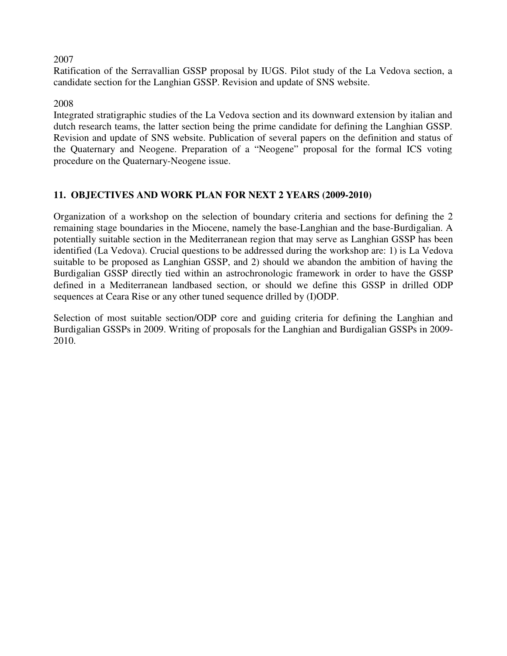#### 2007

Ratification of the Serravallian GSSP proposal by IUGS. Pilot study of the La Vedova section, a candidate section for the Langhian GSSP. Revision and update of SNS website.

#### 2008

Integrated stratigraphic studies of the La Vedova section and its downward extension by italian and dutch research teams, the latter section being the prime candidate for defining the Langhian GSSP. Revision and update of SNS website. Publication of several papers on the definition and status of the Quaternary and Neogene. Preparation of a "Neogene" proposal for the formal ICS voting procedure on the Quaternary-Neogene issue.

## **11. OBJECTIVES AND WORK PLAN FOR NEXT 2 YEARS (2009-2010)**

Organization of a workshop on the selection of boundary criteria and sections for defining the 2 remaining stage boundaries in the Miocene, namely the base-Langhian and the base-Burdigalian. A potentially suitable section in the Mediterranean region that may serve as Langhian GSSP has been identified (La Vedova). Crucial questions to be addressed during the workshop are: 1) is La Vedova suitable to be proposed as Langhian GSSP, and 2) should we abandon the ambition of having the Burdigalian GSSP directly tied within an astrochronologic framework in order to have the GSSP defined in a Mediterranean landbased section, or should we define this GSSP in drilled ODP sequences at Ceara Rise or any other tuned sequence drilled by (I)ODP.

Selection of most suitable section/ODP core and guiding criteria for defining the Langhian and Burdigalian GSSPs in 2009. Writing of proposals for the Langhian and Burdigalian GSSPs in 2009- 2010.